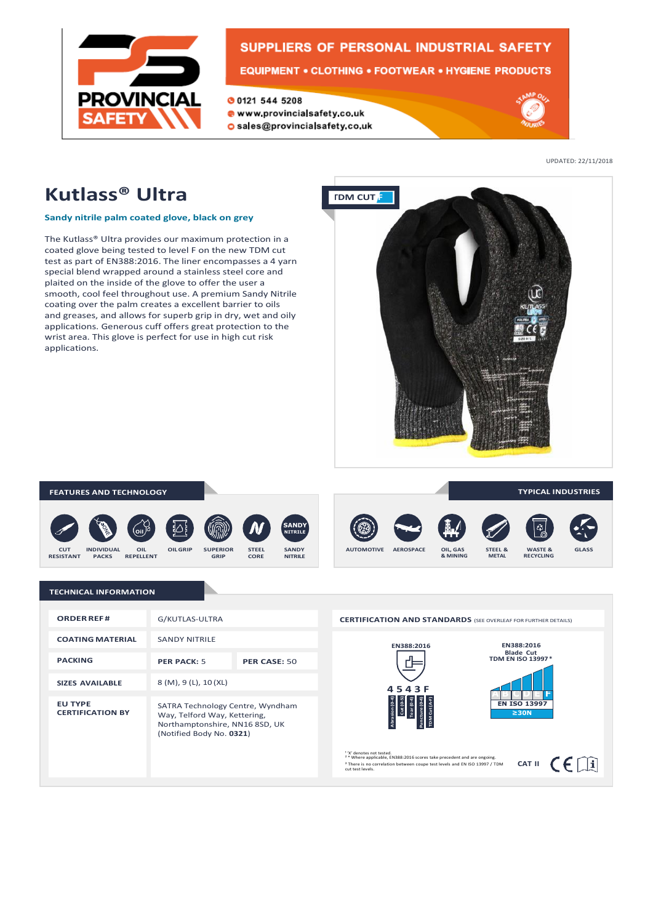

## **SUPPLIERS OF PERSONAL INDUSTRIAL SAFETY EQUIPMENT • CLOTHING • FOOTWEAR • HYGIENE PRODUCTS**

**00121 544 5208** www.provincialsafety.co.uk





UPDATED: 22/11/2018

# **Kutlass® Ultra**

### **Sandy nitrile palm coated glove, black on grey**

The Kutlass® Ultra provides our maximum protection in a coated glove being tested to level F on the new TDM cut test as part of EN388:2016. The liner encompasses a 4 yarn special blend wrapped around a stainless steel core and plaited on the inside of the glove to offer the user a smooth, cool feel throughout use. A premium Sandy Nitrile coating over the palm creates a excellent barrier to oils and greases, and allows for superb grip in dry, wet and oily applications. Generous cuff offers great protection to the wrist area. This glove is perfect for use in high cut risk applications.



#### **FEATURES AND TECHNOLOGY**











**TYPICAL INDUSTRIES**

### **TECHNICAL INFORMATION**

| <b>ORDER REF#</b>                         | G/KUTLAS-ULTRA                                                                                                                 |              |
|-------------------------------------------|--------------------------------------------------------------------------------------------------------------------------------|--------------|
| <b>COATING MATERIAL</b>                   | <b>SANDY NITRILE</b>                                                                                                           |              |
| <b>PACKING</b>                            | <b>PER PACK: 5</b>                                                                                                             | PER CASE: 50 |
| <b>SIZES AVAILABLE</b>                    | 8 (M), 9 (L), 10 (XL)                                                                                                          |              |
| <b>EU TYPE</b><br><b>CERTIFICATION BY</b> | SATRA Technology Centre, Wyndham<br>Way, Telford Way, Kettering,<br>Northamptonshire, NN16 8SD, UK<br>(Notified Body No. 0321) |              |